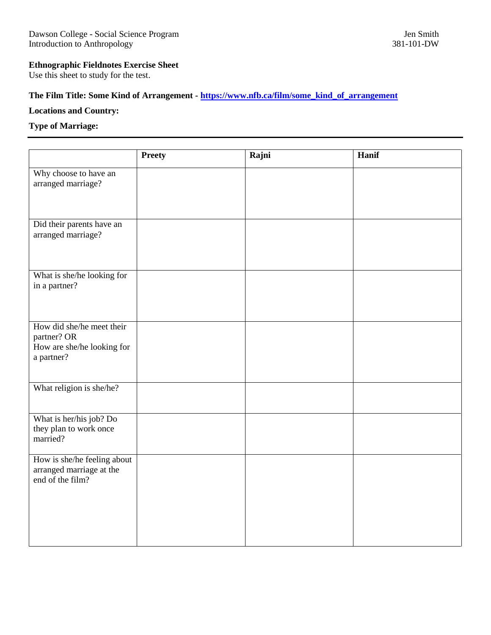## **Ethnographic Fieldnotes Exercise Sheet**

Use this sheet to study for the test.

## **The Film Title: Some Kind of Arrangement - [https://www.nfb.ca/film/some\\_kind\\_of\\_arrangement](https://www.nfb.ca/film/some_kind_of_arrangement)**

## **Locations and Country:**

## **Type of Marriage:**

| <b>Preety</b> | Rajni | Hanif |
|---------------|-------|-------|
|               |       |       |
|               |       |       |
|               |       |       |
|               |       |       |
|               |       |       |
|               |       |       |
|               |       |       |
|               |       |       |